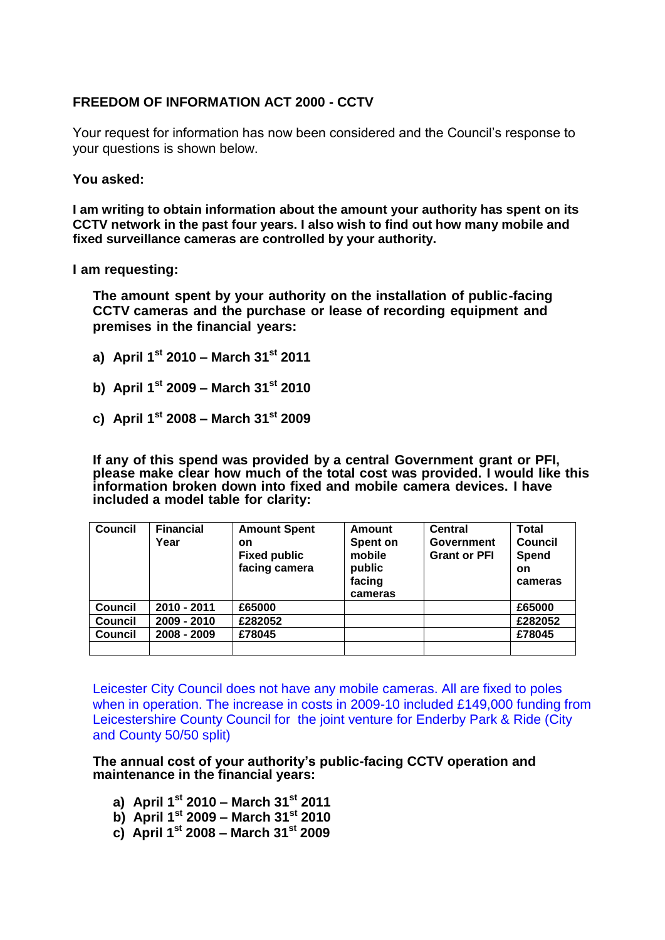## **FREEDOM OF INFORMATION ACT 2000 - CCTV**

Your request for information has now been considered and the Council's response to your questions is shown below.

## **You asked:**

**I am writing to obtain information about the amount your authority has spent on its CCTV network in the past four years. I also wish to find out how many mobile and fixed surveillance cameras are controlled by your authority.**

**I am requesting:**

**The amount spent by your authority on the installation of public-facing CCTV cameras and the purchase or lease of recording equipment and premises in the financial years:**

- **a) April 1st 2010 – March 31st 2011**
- **b) April 1st 2009 – March 31st 2010**
- **c) April 1st 2008 – March 31st 2009**

**If any of this spend was provided by a central Government grant or PFI, please make clear how much of the total cost was provided. I would like this information broken down into fixed and mobile camera devices. I have included a model table for clarity:**

| Council        | <b>Financial</b><br>Year | <b>Amount Spent</b><br>on<br><b>Fixed public</b><br>facing camera | <b>Amount</b><br>Spent on<br>mobile<br>public<br>facing<br>cameras | Central<br>Government<br><b>Grant or PFI</b> | <b>Total</b><br>Council<br><b>Spend</b><br>on<br>cameras |
|----------------|--------------------------|-------------------------------------------------------------------|--------------------------------------------------------------------|----------------------------------------------|----------------------------------------------------------|
| <b>Council</b> | 2010 - 2011              | £65000                                                            |                                                                    |                                              | £65000                                                   |
| <b>Council</b> | 2009 - 2010              | £282052                                                           |                                                                    |                                              | £282052                                                  |
| <b>Council</b> | 2008 - 2009              | £78045                                                            |                                                                    |                                              | £78045                                                   |
|                |                          |                                                                   |                                                                    |                                              |                                                          |

Leicester City Council does not have any mobile cameras. All are fixed to poles when in operation. The increase in costs in 2009-10 included £149,000 funding from Leicestershire County Council for the joint venture for Enderby Park & Ride (City and County 50/50 split)

**The annual cost of your authority's public-facing CCTV operation and maintenance in the financial years:**

- **a) April 1 st 2010 – March 31 st 2011**
- **b) April 1 st 2009 – March 31 st 2010**
- **c) April 1 st 2008 – March 31 st 2009**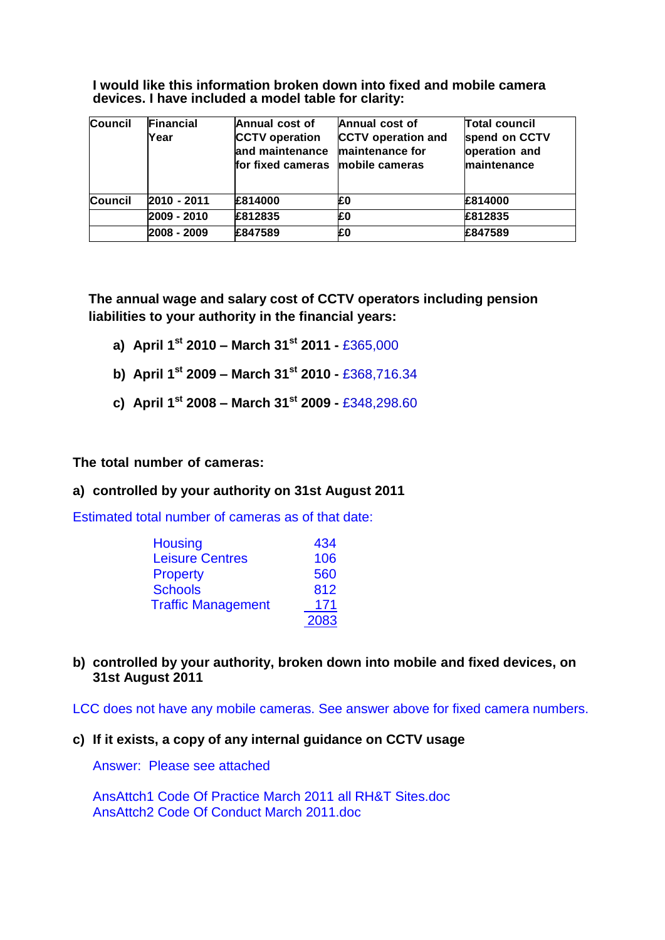**I would like this information broken down into fixed and mobile camera devices. I have included a model table for clarity:**

| <b>Council</b> | <b>Financial</b><br>Year | Annual cost of<br><b>CCTV</b> operation<br>and maintenance<br>for fixed cameras mobile cameras | Annual cost of<br><b>CCTV</b> operation and<br>maintenance for | <b>Total council</b><br>spend on CCTV<br>operation and<br>maintenance |
|----------------|--------------------------|------------------------------------------------------------------------------------------------|----------------------------------------------------------------|-----------------------------------------------------------------------|
| <b>Council</b> | 2010 - 2011              | £814000                                                                                        | £0                                                             | £814000                                                               |
|                | 2009 - 2010              | £812835                                                                                        | £0                                                             | £812835                                                               |
|                | 2008 - 2009              | £847589                                                                                        | £0                                                             | £847589                                                               |

**The annual wage and salary cost of CCTV operators including pension liabilities to your authority in the financial years:** 

- **a) April 1st 2010 – March 31st 2011 -** £365,000
- **b) April 1st 2009 – March 31st 2010 -** £368,716.34
- **c) April 1st 2008 – March 31st 2009 -** £348,298.60

**The total number of cameras:**

## **a) controlled by your authority on 31st August 2011**

Estimated total number of cameras as of that date:

| <b>Housing</b>            | 434  |
|---------------------------|------|
| <b>Leisure Centres</b>    | 106  |
| <b>Property</b>           | 560  |
| <b>Schools</b>            | 812  |
| <b>Traffic Management</b> | 171  |
|                           | 2083 |

**b) controlled by your authority, broken down into mobile and fixed devices, on 31st August 2011**

LCC does not have any mobile cameras. See answer above for fixed camera numbers.

**c) If it exists, a copy of any internal guidance on CCTV usage**

Answer: Please see attached

AnsAttch1 Code Of Practice March 2011 all RH&T Sites.doc AnsAttch2 Code Of Conduct March 2011.doc